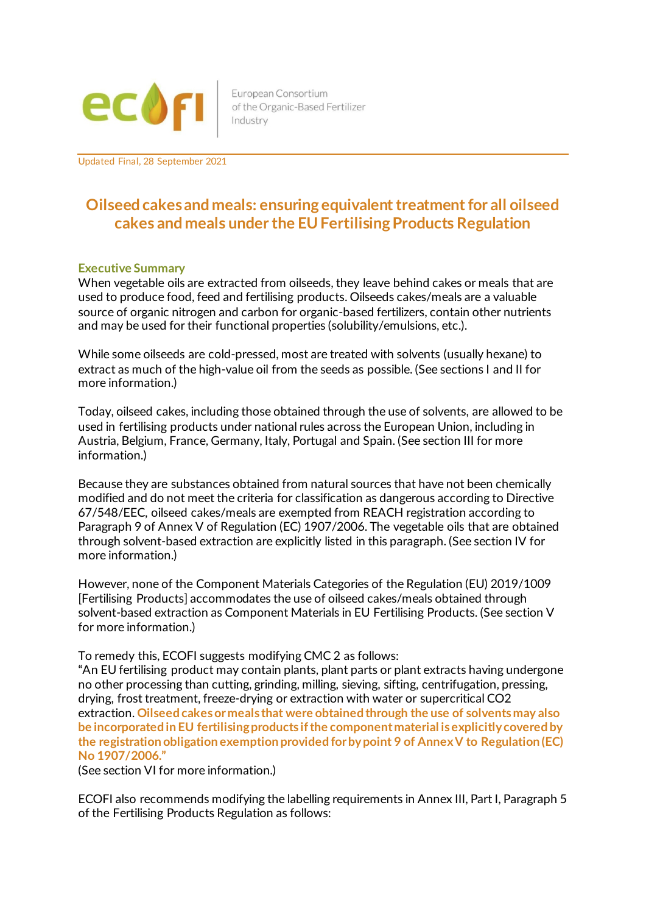

European Consortium of the Organic-Based Fertilizer Industry

Updated Final, 28 September 2021

# **Oilseed cakesand meals: ensuring equivalent treatment for all oilseed cakes and meals under the EU Fertilising Products Regulation**

#### **Executive Summary**

When vegetable oils are extracted from oilseeds, they leave behind cakes or meals that are used to produce food, feed and fertilising products. Oilseeds cakes/meals are a valuable source of organic nitrogen and carbon for organic-based fertilizers, contain other nutrients and may be used for their functional properties (solubility/emulsions, etc.).

While some oilseeds are cold-pressed, most are treated with solvents (usually hexane) to extract as much of the high-value oil from the seeds as possible. (See sections I and II for more information.)

Today, oilseed cakes, including those obtained through the use of solvents, are allowed to be used in fertilising products under national rules across the European Union, including in Austria, Belgium, France, Germany, Italy, Portugal and Spain. (See section III for more information.)

Because they are substances obtained from natural sources that have not been chemically modified and do not meet the criteria for classification as dangerous according to Directive 67/548/EEC, oilseed cakes/meals are exempted from REACH registration according to Paragraph 9 of Annex V of Regulation (EC) 1907/2006. The vegetable oils that are obtained through solvent-based extraction are explicitly listed in this paragraph. (See section IV for more information.)

However, none of the Component Materials Categories of the Regulation (EU) 2019/1009 [Fertilising Products] accommodates the use of oilseed cakes/meals obtained through solvent-based extraction as Component Materials in EU Fertilising Products. (See section V for more information.)

To remedy this, ECOFI suggests modifying CMC 2 as follows:

"An EU fertilising product may contain plants, plant parts or plant extracts having undergone no other processing than cutting, grinding, milling, sieving, sifting, centrifugation, pressing, drying, frost treatment, freeze-drying or extraction with water or supercritical CO2 extraction. **Oilseed cakes or meals that were obtained through the use of solvents may also be incorporated in EU fertilising products if the component material is explicitly covered by the registration obligation exemption provided for by point 9 of Annex V to Regulation (EC) No 1907/2006."**

(See section VI for more information.)

ECOFI also recommends modifying the labelling requirements in Annex III, Part I, Paragraph 5 of the Fertilising Products Regulation as follows: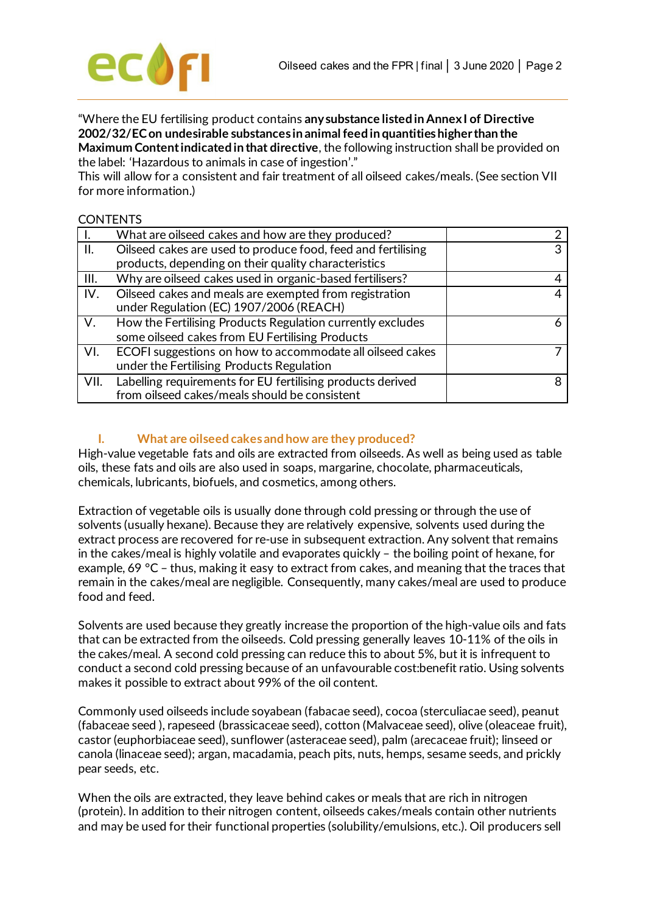

"Where the EU fertilising product contains **any substance listed in Annex I of Directive 2002/32/EC on undesirable substances in animal feed in quantities higher than the Maximum Content indicated in that directive**, the following instruction shall be provided on the label: 'Hazardous to animals in case of ingestion'."

This will allow for a consistent and fair treatment of all oilseed cakes/meals. (See section VII for more information.)

#### **CONTENTS**

|      | What are oilseed cakes and how are they produced?            |  |
|------|--------------------------------------------------------------|--|
| H.   | Oilseed cakes are used to produce food, feed and fertilising |  |
|      | products, depending on their quality characteristics         |  |
| III. | Why are oilseed cakes used in organic-based fertilisers?     |  |
| IV.  | Oilseed cakes and meals are exempted from registration       |  |
|      | under Regulation (EC) 1907/2006 (REACH)                      |  |
| V.   | How the Fertilising Products Regulation currently excludes   |  |
|      | some oilseed cakes from EU Fertilising Products              |  |
| VI.  | ECOFI suggestions on how to accommodate all oilseed cakes    |  |
|      | under the Fertilising Products Regulation                    |  |
| VII. | Labelling requirements for EU fertilising products derived   |  |
|      | from oilseed cakes/meals should be consistent                |  |

# **I. What are oilseed cakes and how are they produced?**

High-value vegetable fats and oils are extracted from oilseeds. As well as being used as table oils, these fats and oils are also used in soaps, margarine, chocolate, pharmaceuticals, chemicals, lubricants, biofuels, and cosmetics, among others.

Extraction of vegetable oils is usually done through cold pressing or through the use of solvents (usually hexane). Because they are relatively expensive, solvents used during the extract process are recovered for re-use in subsequent extraction. Any solvent that remains in the cakes/meal is highly volatile and evaporates quickly – the boiling point of hexane, for example, 69 °C – thus, making it easy to extract from cakes, and meaning that the traces that remain in the cakes/meal are negligible. Consequently, many cakes/meal are used to produce food and feed.

Solvents are used because they greatly increase the proportion of the high-value oils and fats that can be extracted from the oilseeds. Cold pressing generally leaves 10-11% of the oils in the cakes/meal. A second cold pressing can reduce this to about 5%, but it is infrequent to conduct a second cold pressing because of an unfavourable cost:benefit ratio. Using solvents makes it possible to extract about 99% of the oil content.

Commonly used oilseeds include soyabean (fabacae seed), cocoa (sterculiacae seed), peanut (fabaceae seed ), rapeseed (brassicaceae seed), cotton (Malvaceae seed), olive (oleaceae fruit), castor (euphorbiaceae seed), sunflower (asteraceae seed), palm (arecaceae fruit); linseed or canola (linaceae seed); argan, macadamia, peach pits, nuts, hemps, sesame seeds, and prickly pear seeds, etc.

When the oils are extracted, they leave behind cakes or meals that are rich in nitrogen (protein). In addition to their nitrogen content, oilseeds cakes/meals contain other nutrients and may be used for their functional properties (solubility/emulsions, etc.). Oil producers sell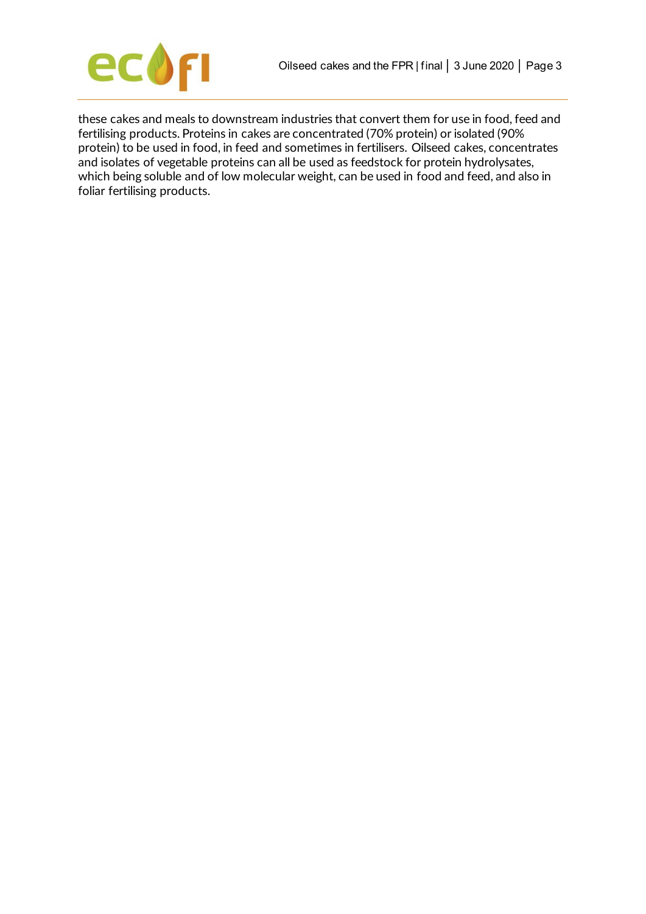



these cakes and meals to downstream industries that convert them for use in food, feed and fertilising products. Proteins in cakes are concentrated (70% protein) or isolated (90% protein) to be used in food, in feed and sometimes in fertilisers. Oilseed cakes, concentrates and isolates of vegetable proteins can all be used as feedstock for protein hydrolysates, which being soluble and of low molecular weight, can be used in food and feed, and also in foliar fertilising products.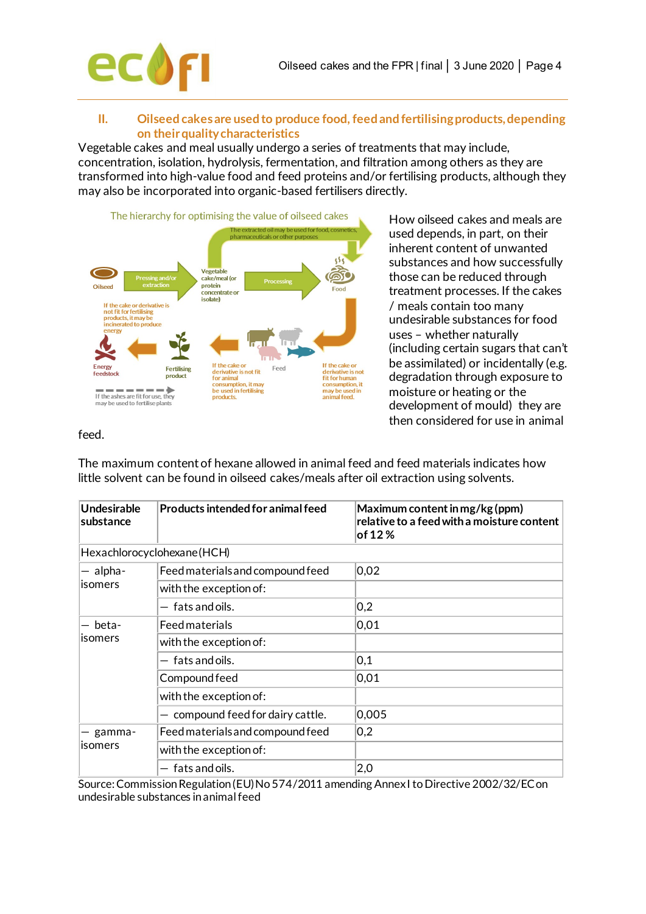

## **II. Oilseed cakes are used to produce food, feed and fertilising products, depending on their quality characteristics**

Vegetable cakes and meal usually undergo a series of treatments that may include, concentration, isolation, hydrolysis, fermentation, and filtration among others as they are transformed into high-value food and feed proteins and/or fertilising products, although they may also be incorporated into organic-based fertilisers directly.



How oilseed cakes and meals are used depends, in part, on their inherent content of unwanted substances and how successfully those can be reduced through treatment processes. If the cakes / meals contain too many undesirable substances for food uses – whether naturally (including certain sugars that can't be assimilated) or incidentally (e.g. degradation through exposure to moisture or heating or the development of mould) they are then considered for use in animal

## feed.

The maximum content of hexane allowed in animal feed and feed materials indicates how little solvent can be found in oilseed cakes/meals after oil extraction using solvents.

| Undesirable<br>substance | Products intended for animal feed | Maximum content in mg/kg (ppm)<br>relative to a feed with a moisture content<br>of 12 % |
|--------------------------|-----------------------------------|-----------------------------------------------------------------------------------------|
|                          | Hexachlorocyclohexane (HCH)       |                                                                                         |
| - alpha-                 | Feed materials and compound feed  | 0,02                                                                                    |
| lisomers                 | with the exception of:            |                                                                                         |
|                          | $-$ fats and oils.                | 0,2                                                                                     |
| beta-                    | <b>Feed materials</b>             | 0,01                                                                                    |
| <b>Isomers</b>           | with the exception of:            |                                                                                         |
|                          | $-$ fats and oils.                | 0,1                                                                                     |
|                          | Compound feed                     | 0,01                                                                                    |
|                          | with the exception of:            |                                                                                         |
|                          | - compound feed for dairy cattle. | 0,005                                                                                   |
| gamma-                   | Feed materials and compound feed  | 0,2                                                                                     |
| lisomers                 | with the exception of:            |                                                                                         |
|                          | $-$ fats and oils.                | $ 2,0\rangle$                                                                           |

Source: Commission Regulation (EU) No 574/2011 amending Annex I to Directive 2002/32/EC on undesirable substances in animal feed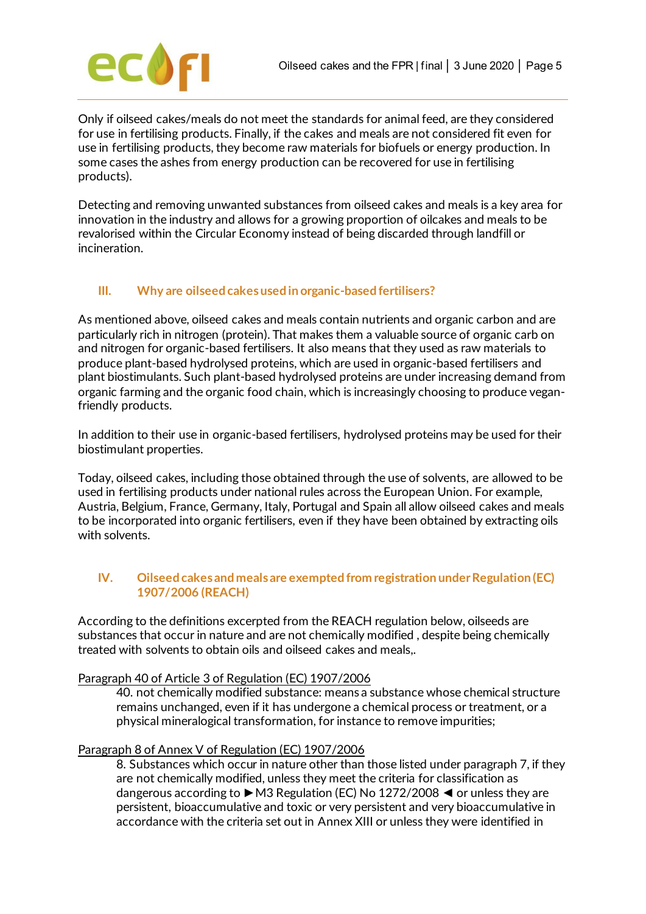

Only if oilseed cakes/meals do not meet the standards for animal feed, are they considered for use in fertilising products. Finally, if the cakes and meals are not considered fit even for use in fertilising products, they become raw materials for biofuels or energy production. In some cases the ashes from energy production can be recovered for use in fertilising products).

Detecting and removing unwanted substances from oilseed cakes and meals is a key area for innovation in the industry and allows for a growing proportion of oilcakes and meals to be revalorised within the Circular Economy instead of being discarded through landfill or incineration.

# **III. Why are oilseed cakesused in organic-based fertilisers?**

As mentioned above, oilseed cakes and meals contain nutrients and organic carbon and are particularly rich in nitrogen (protein). That makes them a valuable source of organic carb on and nitrogen for organic-based fertilisers. It also means that they used as raw materials to produce plant-based hydrolysed proteins, which are used in organic-based fertilisers and plant biostimulants. Such plant-based hydrolysed proteins are under increasing demand from organic farming and the organic food chain, which is increasingly choosing to produce veganfriendly products.

In addition to their use in organic-based fertilisers, hydrolysed proteins may be used for their biostimulant properties.

Today, oilseed cakes, including those obtained through the use of solvents, are allowed to be used in fertilising products under national rules across the European Union. For example, Austria, Belgium, France, Germany, Italy, Portugal and Spain all allow oilseed cakes and meals to be incorporated into organic fertilisers, even if they have been obtained by extracting oils with solvents.

# **IV. Oilseed cakes and meals are exempted from registration under Regulation (EC) 1907/2006 (REACH)**

According to the definitions excerpted from the REACH regulation below, oilseeds are substances that occur in nature and are not chemically modified , despite being chemically treated with solvents to obtain oils and oilseed cakes and meals,.

#### Paragraph 40 of Article 3 of Regulation (EC) 1907/2006

40. not chemically modified substance: means a substance whose chemical structure remains unchanged, even if it has undergone a chemical process or treatment, or a physical mineralogical transformation, for instance to remove impurities;

#### Paragraph 8 of Annex V of Regulation (EC) 1907/2006

8. Substances which occur in nature other than those listed under paragraph 7, if they are not chemically modified, unless they meet the criteria for classification as dangerous according to ►M3 Regulation (EC) No 1272/2008 ◄ or unless they are persistent, bioaccumulative and toxic or very persistent and very bioaccumulative in accordance with the criteria set out in Annex XIII or unless they were identified in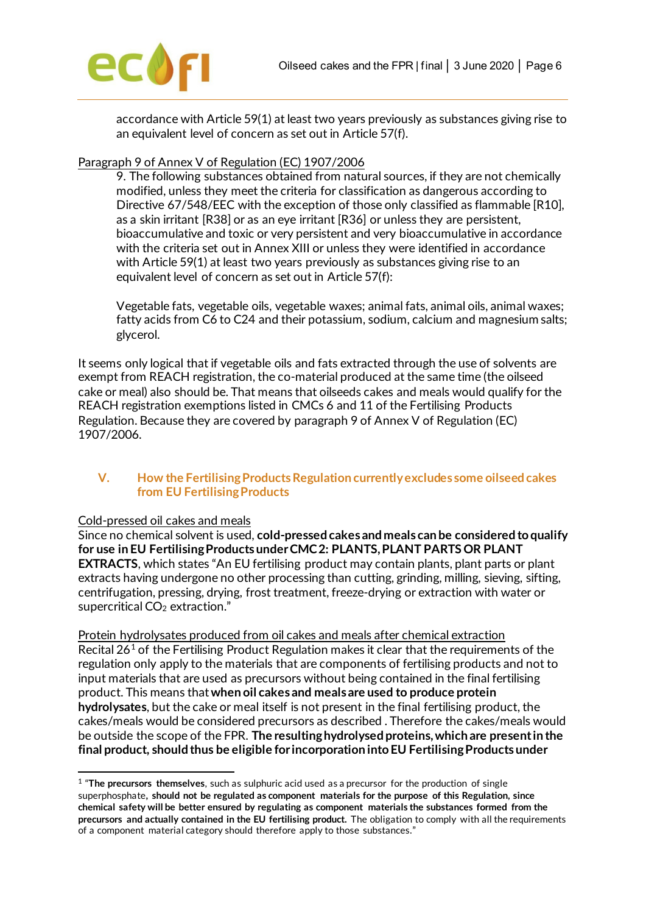

accordance with Article 59(1) at least two years previously as substances giving rise to an equivalent level of concern as set out in Article 57(f).

## Paragraph 9 of Annex V of Regulation (EC) 1907/2006

9. The following substances obtained from natural sources, if they are not chemically modified, unless they meet the criteria for classification as dangerous according to Directive 67/548/EEC with the exception of those only classified as flammable [R10], as a skin irritant [R38] or as an eye irritant [R36] or unless they are persistent, bioaccumulative and toxic or very persistent and very bioaccumulative in accordance with the criteria set out in Annex XIII or unless they were identified in accordance with Article 59(1) at least two years previously as substances giving rise to an equivalent level of concern as set out in Article 57(f):

Vegetable fats, vegetable oils, vegetable waxes; animal fats, animal oils, animal waxes; fatty acids from C6 to C24 and their potassium, sodium, calcium and magnesium salts; glycerol.

It seems only logical that if vegetable oils and fats extracted through the use of solvents are exempt from REACH registration, the co-material produced at the same time (the oilseed cake or meal) also should be. That means that oilseeds cakes and meals would qualify for the REACH registration exemptions listed in CMCs 6 and 11 of the Fertilising Products Regulation. Because they are covered by paragraph 9 of Annex V of Regulation (EC) 1907/2006.

## **V. How the Fertilising Products Regulation currently excludes some oilseed cakes from EU Fertilising Products**

#### Cold-pressed oil cakes and meals

Since no chemical solvent is used, **cold-pressed cakes and meals can be considered to qualify for use in EU Fertilising Products under CMC 2: PLANTS, PLANT PARTS OR PLANT EXTRACTS**, which states "An EU fertilising product may contain plants, plant parts or plant extracts having undergone no other processing than cutting, grinding, milling, sieving, sifting, centrifugation, pressing, drying, frost treatment, freeze-drying or extraction with water or supercritical CO<sub>2</sub> extraction."

Protein hydrolysates produced from oil cakes and meals after chemical extraction Recital  $26<sup>1</sup>$  $26<sup>1</sup>$  $26<sup>1</sup>$  of the Fertilising Product Regulation makes it clear that the requirements of the regulation only apply to the materials that are components of fertilising products and not to input materials that are used as precursors without being contained in the final fertilising product. This means that **when oil cakes and meals are used to produce protein hydrolysates**, but the cake or meal itself is not present in the final fertilising product, the cakes/meals would be considered precursors as described . Therefore the cakes/meals would be outside the scope of the FPR. **The resulting hydrolysed proteins, which are present in the final product, should thus be eligible for incorporation into EU Fertilising Products under** 

<span id="page-5-0"></span><sup>1</sup> "**The precursors themselves**, such as sulphuric acid used as a precursor for the production of single superphosphate**, should not be regulated as component materials for the purpose of this Regulation, since chemical safety will be better ensured by regulating as component materials the substances formed from the precursors and actually contained in the EU fertilising product.** The obligation to comply with all the requirements of a component material category should therefore apply to those substances."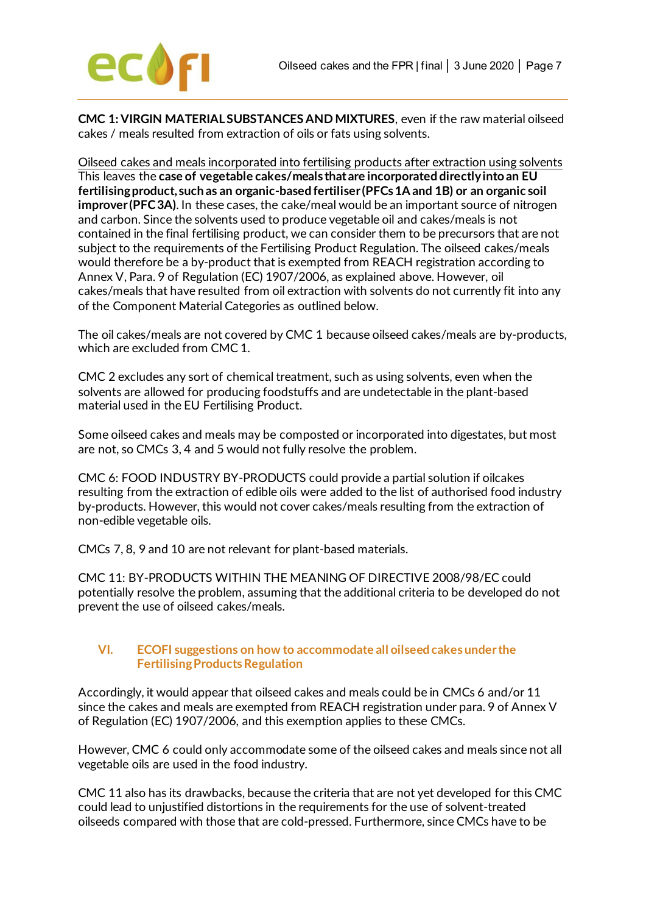

**CMC 1: VIRGIN MATERIAL SUBSTANCES AND MIXTURES**, even if the raw material oilseed cakes / meals resulted from extraction of oils or fats using solvents.

Oilseed cakes and meals incorporated into fertilising products after extraction using solvents This leaves the **case of vegetable cakes/meals that are incorporated directly into an EU fertilising product, such as an organic-based fertiliser (PFCs 1A and 1B) or an organic soil improver (PFC 3A)**. In these cases, the cake/meal would be an important source of nitrogen and carbon. Since the solvents used to produce vegetable oil and cakes/meals is not contained in the final fertilising product, we can consider them to be precursors that are not subject to the requirements of the Fertilising Product Regulation. The oilseed cakes/meals would therefore be a by-product that is exempted from REACH registration according to Annex V, Para. 9 of Regulation (EC) 1907/2006, as explained above. However, oil cakes/meals that have resulted from oil extraction with solvents do not currently fit into any of the Component Material Categories as outlined below.

The oil cakes/meals are not covered by CMC 1 because oilseed cakes/meals are by-products, which are excluded from CMC 1.

CMC 2 excludes any sort of chemical treatment, such as using solvents, even when the solvents are allowed for producing foodstuffs and are undetectable in the plant-based material used in the EU Fertilising Product.

Some oilseed cakes and meals may be composted or incorporated into digestates, but most are not, so CMCs 3, 4 and 5 would not fully resolve the problem.

CMC 6: FOOD INDUSTRY BY-PRODUCTS could provide a partial solution if oilcakes resulting from the extraction of edible oils were added to the list of authorised food industry by-products. However, this would not cover cakes/meals resulting from the extraction of non-edible vegetable oils.

CMCs 7, 8, 9 and 10 are not relevant for plant-based materials.

CMC 11: BY-PRODUCTS WITHIN THE MEANING OF DIRECTIVE 2008/98/EC could potentially resolve the problem, assuming that the additional criteria to be developed do not prevent the use of oilseed cakes/meals.

## **VI. ECOFI suggestions on how to accommodate all oilseed cakes under the Fertilising Products Regulation**

Accordingly, it would appear that oilseed cakes and meals could be in CMCs 6 and/or 11 since the cakes and meals are exempted from REACH registration under para. 9 of Annex V of Regulation (EC) 1907/2006, and this exemption applies to these CMCs.

However, CMC 6 could only accommodate some of the oilseed cakes and meals since not all vegetable oils are used in the food industry.

CMC 11 also has its drawbacks, because the criteria that are not yet developed for this CMC could lead to unjustified distortions in the requirements for the use of solvent-treated oilseeds compared with those that are cold-pressed. Furthermore, since CMCs have to be